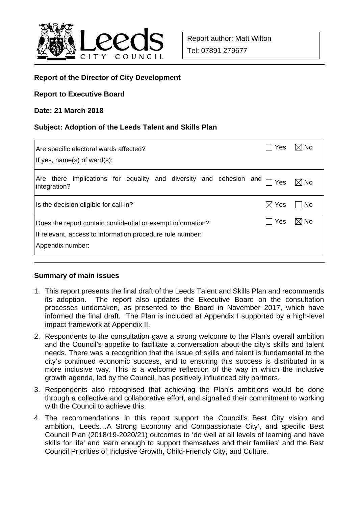

# **Report of the Director of City Development**

#### **Report to Executive Board**

#### **Date: 21 March 2018**

#### **Subject: Adoption of the Leeds Talent and Skills Plan**

| Are specific electoral wards affected?                                                                                                       | <b>Yes</b> | $\boxtimes$ l No |
|----------------------------------------------------------------------------------------------------------------------------------------------|------------|------------------|
| If yes, $name(s)$ of ward $(s)$ :                                                                                                            |            |                  |
| there implications for equality and diversity and cohesion and<br>Are<br>integration?                                                        | $\Box$ Yes | $\boxtimes$ No   |
| Is the decision eligible for call-in?                                                                                                        | Yes<br>IЖI | l No             |
| Does the report contain confidential or exempt information?<br>If relevant, access to information procedure rule number:<br>Appendix number: | Yes        | $\boxtimes$ No   |

### **Summary of main issues**

- 1. This report presents the final draft of the Leeds Talent and Skills Plan and recommends its adoption. The report also updates the Executive Board on the consultation processes undertaken, as presented to the Board in November 2017, which have informed the final draft. The Plan is included at Appendix I supported by a high-level impact framework at Appendix II.
- 2. Respondents to the consultation gave a strong welcome to the Plan's overall ambition and the Council's appetite to facilitate a conversation about the city's skills and talent needs. There was a recognition that the issue of skills and talent is fundamental to the city's continued economic success, and to ensuring this success is distributed in a more inclusive way. This is a welcome reflection of the way in which the inclusive growth agenda, led by the Council, has positively influenced city partners.
- 3. Respondents also recognised that achieving the Plan's ambitions would be done through a collective and collaborative effort, and signalled their commitment to working with the Council to achieve this.
- 4. The recommendations in this report support the Council's Best City vision and ambition, 'Leeds…A Strong Economy and Compassionate City', and specific Best Council Plan (2018/19-2020/21) outcomes to 'do well at all levels of learning and have skills for life' and 'earn enough to support themselves and their families' and the Best Council Priorities of Inclusive Growth, Child-Friendly City, and Culture.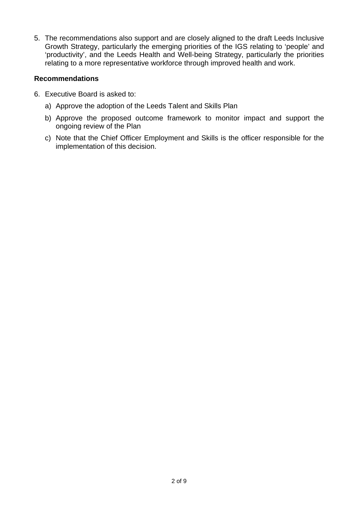5. The recommendations also support and are closely aligned to the draft Leeds Inclusive Growth Strategy, particularly the emerging priorities of the IGS relating to 'people' and 'productivity', and the Leeds Health and Well-being Strategy, particularly the priorities relating to a more representative workforce through improved health and work.

## **Recommendations**

- 6. Executive Board is asked to:
	- a) Approve the adoption of the Leeds Talent and Skills Plan
	- b) Approve the proposed outcome framework to monitor impact and support the ongoing review of the Plan
	- c) Note that the Chief Officer Employment and Skills is the officer responsible for the implementation of this decision.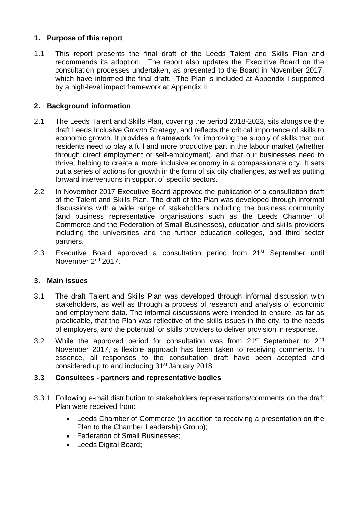# **1. Purpose of this report**

1.1 This report presents the final draft of the Leeds Talent and Skills Plan and recommends its adoption. The report also updates the Executive Board on the consultation processes undertaken, as presented to the Board in November 2017, which have informed the final draft. The Plan is included at Appendix I supported by a high-level impact framework at Appendix II.

# **2. Background information**

- 2.1 The Leeds Talent and Skills Plan, covering the period 2018-2023, sits alongside the draft Leeds Inclusive Growth Strategy, and reflects the critical importance of skills to economic growth. It provides a framework for improving the supply of skills that our residents need to play a full and more productive part in the labour market (whether through direct employment or self-employment), and that our businesses need to thrive, helping to create a more inclusive economy in a compassionate city. It sets out a series of actions for growth in the form of six city challenges, as well as putting forward interventions in support of specific sectors.
- 2.2 In November 2017 Executive Board approved the publication of a consultation draft of the Talent and Skills Plan. The draft of the Plan was developed through informal discussions with a wide range of stakeholders including the business community (and business representative organisations such as the Leeds Chamber of Commerce and the Federation of Small Businesses), education and skills providers including the universities and the further education colleges, and third sector partners.
- 2.3 Executive Board approved a consultation period from 21<sup>st</sup> September until November 2nd 2017.

# **3. Main issues**

- 3.1 The draft Talent and Skills Plan was developed through informal discussion with stakeholders, as well as through a process of research and analysis of economic and employment data. The informal discussions were intended to ensure, as far as practicable, that the Plan was reflective of the skills issues in the city, to the needs of employers, and the potential for skills providers to deliver provision in response.
- 3.2 While the approved period for consultation was from  $21^{st}$  September to  $2^{nd}$ November 2017, a flexible approach has been taken to receiving comments. In essence, all responses to the consultation draft have been accepted and considered up to and including 31st January 2018.

### **3.3 Consultees - partners and representative bodies**

- 3.3.1 Following e-mail distribution to stakeholders representations/comments on the draft Plan were received from:
	- Leeds Chamber of Commerce (in addition to receiving a presentation on the Plan to the Chamber Leadership Group);
	- Federation of Small Businesses;
	- Leeds Digital Board: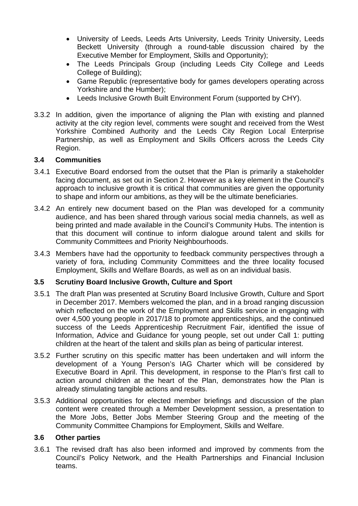- University of Leeds, Leeds Arts University, Leeds Trinity University, Leeds Beckett University (through a round-table discussion chaired by the Executive Member for Employment, Skills and Opportunity);
- The Leeds Principals Group (including Leeds City College and Leeds College of Building);
- Game Republic (representative body for games developers operating across Yorkshire and the Humber);
- Leeds Inclusive Growth Built Environment Forum (supported by CHY).
- 3.3.2 In addition, given the importance of aligning the Plan with existing and planned activity at the city region level, comments were sought and received from the West Yorkshire Combined Authority and the Leeds City Region Local Enterprise Partnership, as well as Employment and Skills Officers across the Leeds City Region.

# **3.4 Communities**

- 3.4.1 Executive Board endorsed from the outset that the Plan is primarily a stakeholder facing document, as set out in Section 2. However as a key element in the Council's approach to inclusive growth it is critical that communities are given the opportunity to shape and inform our ambitions, as they will be the ultimate beneficiaries.
- 3.4.2 An entirely new document based on the Plan was developed for a community audience, and has been shared through various social media channels, as well as being printed and made available in the Council's Community Hubs. The intention is that this document will continue to inform dialogue around talent and skills for Community Committees and Priority Neighbourhoods.
- 3.4.3 Members have had the opportunity to feedback community perspectives through a variety of fora, including Community Committees and the three locality focused Employment, Skills and Welfare Boards, as well as on an individual basis.

### **3.5 Scrutiny Board Inclusive Growth, Culture and Sport**

- 3.5.1 The draft Plan was presented at Scrutiny Board Inclusive Growth, Culture and Sport in December 2017. Members welcomed the plan, and in a broad ranging discussion which reflected on the work of the Employment and Skills service in engaging with over 4,500 young people in 2017/18 to promote apprenticeships, and the continued success of the Leeds Apprenticeship Recruitment Fair, identified the issue of Information, Advice and Guidance for young people, set out under Call 1: putting children at the heart of the talent and skills plan as being of particular interest.
- 3.5.2 Further scrutiny on this specific matter has been undertaken and will inform the development of a Young Person's IAG Charter which will be considered by Executive Board in April. This development, in response to the Plan's first call to action around children at the heart of the Plan, demonstrates how the Plan is already stimulating tangible actions and results.
- 3.5.3 Additional opportunities for elected member briefings and discussion of the plan content were created through a Member Development session, a presentation to the More Jobs, Better Jobs Member Steering Group and the meeting of the Community Committee Champions for Employment, Skills and Welfare.

### **3.6 Other parties**

3.6.1 The revised draft has also been informed and improved by comments from the Council's Policy Network, and the Health Partnerships and Financial Inclusion teams.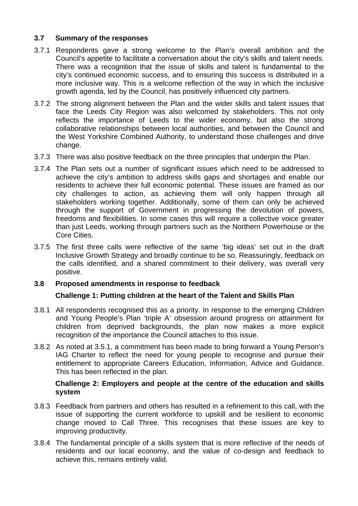# **3.7 Summary of the responses**

- 3.7.1 Respondents gave a strong welcome to the Plan's overall ambition and the Council's appetite to facilitate a conversation about the city's skills and talent needs. There was a recognition that the issue of skills and talent is fundamental to the city's continued economic success, and to ensuring this success is distributed in a more inclusive way. This is a welcome reflection of the way in which the inclusive growth agenda, led by the Council, has positively influenced city partners.
- 3.7.2 The strong alignment between the Plan and the wider skills and talent issues that face the Leeds City Region was also welcomed by stakeholders. This not only reflects the importance of Leeds to the wider economy, but also the strong collaborative relationships between local authorities, and between the Council and the West Yorkshire Combined Authority, to understand those challenges and drive change.
- 3.7.3 There was also positive feedback on the three principles that underpin the Plan.
- 3.7.4 The Plan sets out a number of significant issues which need to be addressed to achieve the city's ambition to address skills gaps and shortages and enable our residents to achieve their full economic potential. These issues are framed as our city challenges to action, as achieving them will only happen through all stakeholders working together. Additionally, some of them can only be achieved through the support of Government in progressing the devolution of powers, freedoms and flexibilities. In some cases this will require a collective voice greater than just Leeds, working through partners such as the Northern Powerhouse or the Core Cities.
- 3.7.5 The first three calls were reflective of the same 'big ideas' set out in the draft Inclusive Growth Strategy and broadly continue to be so. Reassuringly, feedback on the calls identified, and a shared commitment to their delivery, was overall very positive.

### **3.8 Proposed amendments in response to feedback**

### **Challenge 1: Putting children at the heart of the Talent and Skills Plan**

- 3.8.1 All respondents recognised this as a priority. In response to the emerging Children and Young People's Plan 'triple A' obsession around progress on attainment for children from deprived backgrounds, the plan now makes a more explicit recognition of the importance the Council attaches to this issue.
- 3.8.2 As noted at 3.5.1, a commitment has been made to bring forward a Young Person's IAG Charter to reflect the need for young people to recognise and pursue their entitlement to appropriate Careers Education, Information, Advice and Guidance. This has been reflected in the plan.

### **Challenge 2: Employers and people at the centre of the education and skills system**

- 3.8.3 Feedback from partners and others has resulted in a refinement to this call, with the issue of supporting the current workforce to upskill and be resilient to economic change moved to Call Three. This recognises that these issues are key to improving productivity.
- 3.8.4 The fundamental principle of a skills system that is more reflective of the needs of residents and our local economy, and the value of co-design and feedback to achieve this, remains entirely valid.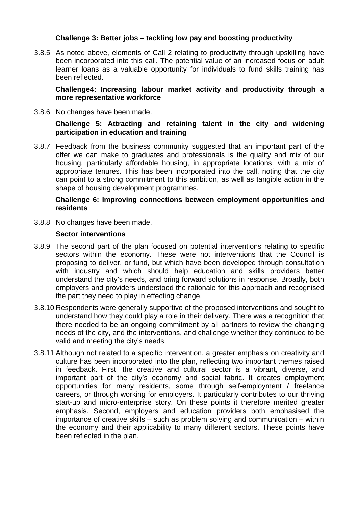## **Challenge 3: Better jobs – tackling low pay and boosting productivity**

3.8.5 As noted above, elements of Call 2 relating to productivity through upskilling have been incorporated into this call. The potential value of an increased focus on adult learner loans as a valuable opportunity for individuals to fund skills training has been reflected.

**Challenge4: Increasing labour market activity and productivity through a more representative workforce** 

3.8.6 No changes have been made.

#### **Challenge 5: Attracting and retaining talent in the city and widening participation in education and training**

3.8.7 Feedback from the business community suggested that an important part of the offer we can make to graduates and professionals is the quality and mix of our housing, particularly affordable housing, in appropriate locations, with a mix of appropriate tenures. This has been incorporated into the call, noting that the city can point to a strong commitment to this ambition, as well as tangible action in the shape of housing development programmes.

#### **Challenge 6: Improving connections between employment opportunities and residents**

3.8.8 No changes have been made.

#### **Sector interventions**

- 3.8.9 The second part of the plan focused on potential interventions relating to specific sectors within the economy. These were not interventions that the Council is proposing to deliver, or fund, but which have been developed through consultation with industry and which should help education and skills providers better understand the city's needs, and bring forward solutions in response. Broadly, both employers and providers understood the rationale for this approach and recognised the part they need to play in effecting change.
- 3.8.10 Respondents were generally supportive of the proposed interventions and sought to understand how they could play a role in their delivery. There was a recognition that there needed to be an ongoing commitment by all partners to review the changing needs of the city, and the interventions, and challenge whether they continued to be valid and meeting the city's needs.
- 3.8.11 Although not related to a specific intervention, a greater emphasis on creativity and culture has been incorporated into the plan, reflecting two important themes raised in feedback. First, the creative and cultural sector is a vibrant, diverse, and important part of the city's economy and social fabric. It creates employment opportunities for many residents, some through self-employment / freelance careers, or through working for employers. It particularly contributes to our thriving start-up and micro-enterprise story. On these points it therefore merited greater emphasis. Second, employers and education providers both emphasised the importance of creative skills – such as problem solving and communication – within the economy and their applicability to many different sectors. These points have been reflected in the plan.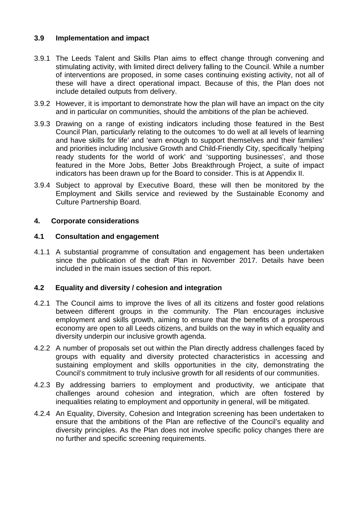# **3.9 Implementation and impact**

- 3.9.1 The Leeds Talent and Skills Plan aims to effect change through convening and stimulating activity, with limited direct delivery falling to the Council. While a number of interventions are proposed, in some cases continuing existing activity, not all of these will have a direct operational impact. Because of this, the Plan does not include detailed outputs from delivery.
- 3.9.2 However, it is important to demonstrate how the plan will have an impact on the city and in particular on communities, should the ambitions of the plan be achieved.
- 3.9.3 Drawing on a range of existing indicators including those featured in the Best Council Plan, particularly relating to the outcomes 'to do well at all levels of learning and have skills for life' and 'earn enough to support themselves and their families' and priorities including Inclusive Growth and Child-Friendly City, specifically 'helping ready students for the world of work' and 'supporting businesses', and those featured in the More Jobs, Better Jobs Breakthrough Project, a suite of impact indicators has been drawn up for the Board to consider. This is at Appendix II.
- 3.9.4 Subject to approval by Executive Board, these will then be monitored by the Employment and Skills service and reviewed by the Sustainable Economy and Culture Partnership Board.

### **4. Corporate considerations**

### **4.1 Consultation and engagement**

4.1.1 A substantial programme of consultation and engagement has been undertaken since the publication of the draft Plan in November 2017. Details have been included in the main issues section of this report.

### **4.2 Equality and diversity / cohesion and integration**

- 4.2.1 The Council aims to improve the lives of all its citizens and foster good relations between different groups in the community. The Plan encourages inclusive employment and skills growth, aiming to ensure that the benefits of a prosperous economy are open to all Leeds citizens, and builds on the way in which equality and diversity underpin our inclusive growth agenda.
- 4.2.2 A number of proposals set out within the Plan directly address challenges faced by groups with equality and diversity protected characteristics in accessing and sustaining employment and skills opportunities in the city, demonstrating the Council's commitment to truly inclusive growth for all residents of our communities.
- 4.2.3 By addressing barriers to employment and productivity, we anticipate that challenges around cohesion and integration, which are often fostered by inequalities relating to employment and opportunity in general, will be mitigated.
- 4.2.4 An Equality, Diversity, Cohesion and Integration screening has been undertaken to ensure that the ambitions of the Plan are reflective of the Council's equality and diversity principles. As the Plan does not involve specific policy changes there are no further and specific screening requirements.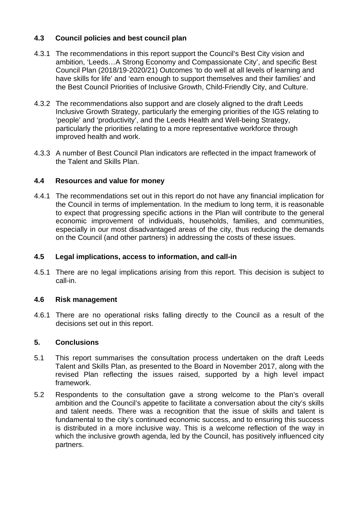# **4.3 Council policies and best council plan**

- 4.3.1 The recommendations in this report support the Council's Best City vision and ambition, 'Leeds…A Strong Economy and Compassionate City', and specific Best Council Plan (2018/19-2020/21) Outcomes 'to do well at all levels of learning and have skills for life' and 'earn enough to support themselves and their families' and the Best Council Priorities of Inclusive Growth, Child-Friendly City, and Culture.
- 4.3.2 The recommendations also support and are closely aligned to the draft Leeds Inclusive Growth Strategy, particularly the emerging priorities of the IGS relating to 'people' and 'productivity', and the Leeds Health and Well-being Strategy, particularly the priorities relating to a more representative workforce through improved health and work.
- 4.3.3 A number of Best Council Plan indicators are reflected in the impact framework of the Talent and Skills Plan.

# **4.4 Resources and value for money**

4.4.1 The recommendations set out in this report do not have any financial implication for the Council in terms of implementation. In the medium to long term, it is reasonable to expect that progressing specific actions in the Plan will contribute to the general economic improvement of individuals, households, families, and communities, especially in our most disadvantaged areas of the city, thus reducing the demands on the Council (and other partners) in addressing the costs of these issues.

## **4.5 Legal implications, access to information, and call-in**

4.5.1 There are no legal implications arising from this report. This decision is subject to call-in.

# **4.6 Risk management**

4.6.1 There are no operational risks falling directly to the Council as a result of the decisions set out in this report.

### **5. Conclusions**

- 5.1 This report summarises the consultation process undertaken on the draft Leeds Talent and Skills Plan, as presented to the Board in November 2017, along with the revised Plan reflecting the issues raised, supported by a high level impact framework.
- 5.2 Respondents to the consultation gave a strong welcome to the Plan's overall ambition and the Council's appetite to facilitate a conversation about the city's skills and talent needs. There was a recognition that the issue of skills and talent is fundamental to the city's continued economic success, and to ensuring this success is distributed in a more inclusive way. This is a welcome reflection of the way in which the inclusive growth agenda, led by the Council, has positively influenced city partners.